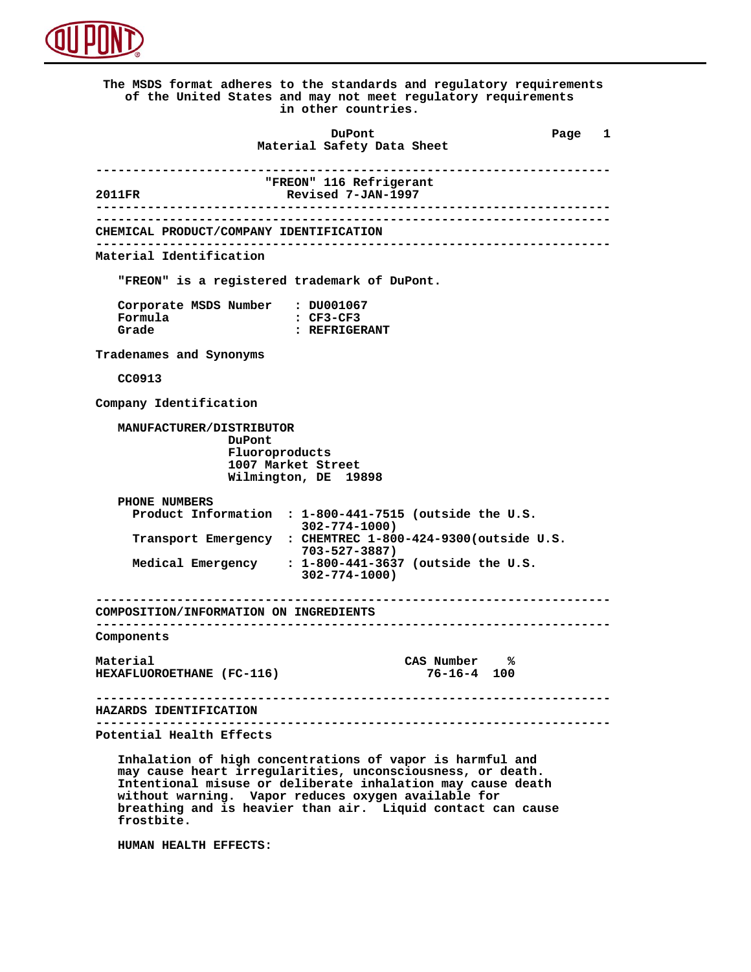

 **The MSDS format adheres to the standards and regulatory requirements of the United States and may not meet regulatory requirements in other countries. DuPont Different Page 1 Material Safety Data Sheet ---------------------------------------------------------------------- "FREON" 116 Refrigerant**<br> **Revised 7-JAN-1997 2011FR Revised 7-JAN-1997 ---------------------------------------------------------------------- ---------------------------------------------------------------------- CHEMICAL PRODUCT/COMPANY IDENTIFICATION ---------------------------------------------------------------------- Material Identification "FREON" is a registered trademark of DuPont. Corporate MSDS Number : DU001067 Formula : CF3-CF3**<br>Grade : REFRIGE  **Grade : REFRIGERANT Tradenames and Synonyms CC0913 Company Identification MANUFACTURER/DISTRIBUTOR DuPont Fluoroproducts 1007 Market Street Wilmington, DE 19898 PHONE NUMBERS Product Information : 1-800-441-7515 (outside the U.S. 302-774-1000) Transport Emergency : CHEMTREC 1-800-424-9300(outside U.S. 703-527-3887) Medical Emergency : 1-800-441-3637 (outside the U.S. 302-774-1000) ---------------------------------------------------------------------- COMPOSITION/INFORMATION ON INGREDIENTS ---------------------------------------------------------------------- Components** Material CAS Number %<br> **HEXAFLUOROETHANE** (FC-116) CAS Number % 76-16-4 100 **HEXAFLUOROETHANE (FC-116) ---------------------------------------------------------------------- HAZARDS IDENTIFICATION ---------------------------------------------------------------------- Potential Health Effects Inhalation of high concentrations of vapor is harmful and may cause heart irregularities, unconsciousness, or death. Intentional misuse or deliberate inhalation may cause death without warning. Vapor reduces oxygen available for**

 **breathing and is heavier than air. Liquid contact can cause**

 **HUMAN HEALTH EFFECTS:**

 **frostbite.**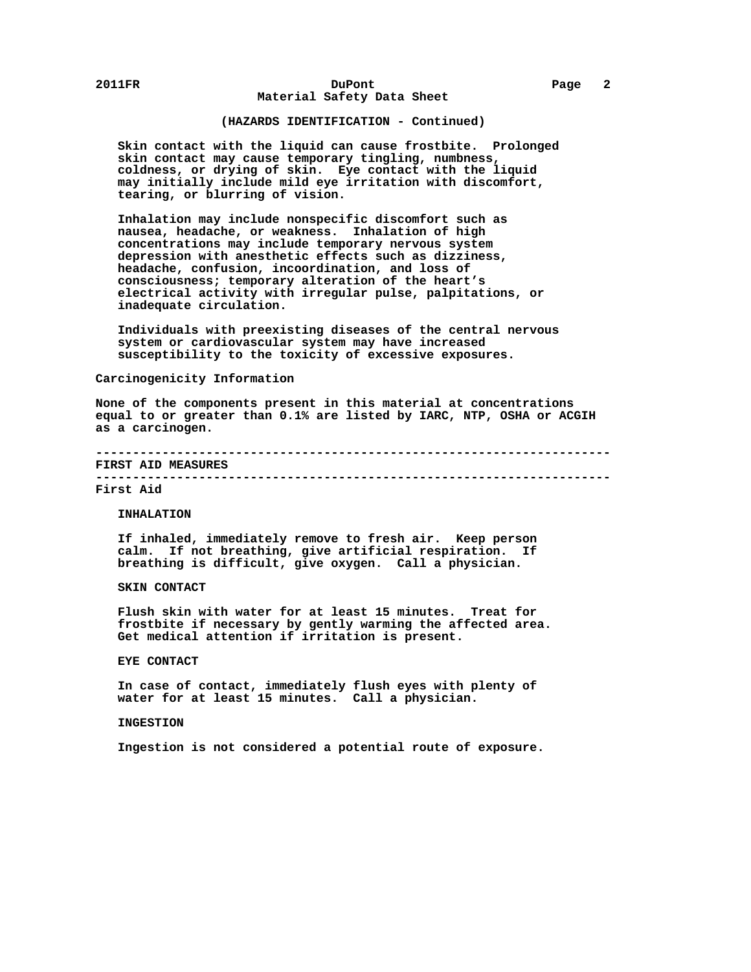# **2011FR DuPont Page 2 Material Safety Data Sheet**

# **(HAZARDS IDENTIFICATION - Continued)**

 **Skin contact with the liquid can cause frostbite. Prolonged skin contact may cause temporary tingling, numbness, coldness, or drying of skin. Eye contact with the liquid may initially include mild eye irritation with discomfort, tearing, or blurring of vision.**

 **Inhalation may include nonspecific discomfort such as nausea, headache, or weakness. Inhalation of high concentrations may include temporary nervous system depression with anesthetic effects such as dizziness, headache, confusion, incoordination, and loss of consciousness; temporary alteration of the heart's electrical activity with irregular pulse, palpitations, or inadequate circulation.**

 **Individuals with preexisting diseases of the central nervous system or cardiovascular system may have increased susceptibility to the toxicity of excessive exposures.**

# **Carcinogenicity Information**

 **None of the components present in this material at concentrations equal to or greater than 0.1% are listed by IARC, NTP, OSHA or ACGIH as a carcinogen.**

#### **---------------------------------------------------------------------- FIRST AID MEASURES**

#### **----------------------------------------------------------------------**

 **First Aid**

#### **INHALATION**

 **If inhaled, immediately remove to fresh air. Keep person calm. If not breathing, give artificial respiration. If breathing is difficult, give oxygen. Call a physician.**

#### **SKIN CONTACT**

 **Flush skin with water for at least 15 minutes. Treat for frostbite if necessary by gently warming the affected area. Get medical attention if irritation is present.**

# **EYE CONTACT**

 **In case of contact, immediately flush eyes with plenty of water for at least 15 minutes. Call a physician.**

# **INGESTION**

 **Ingestion is not considered a potential route of exposure.**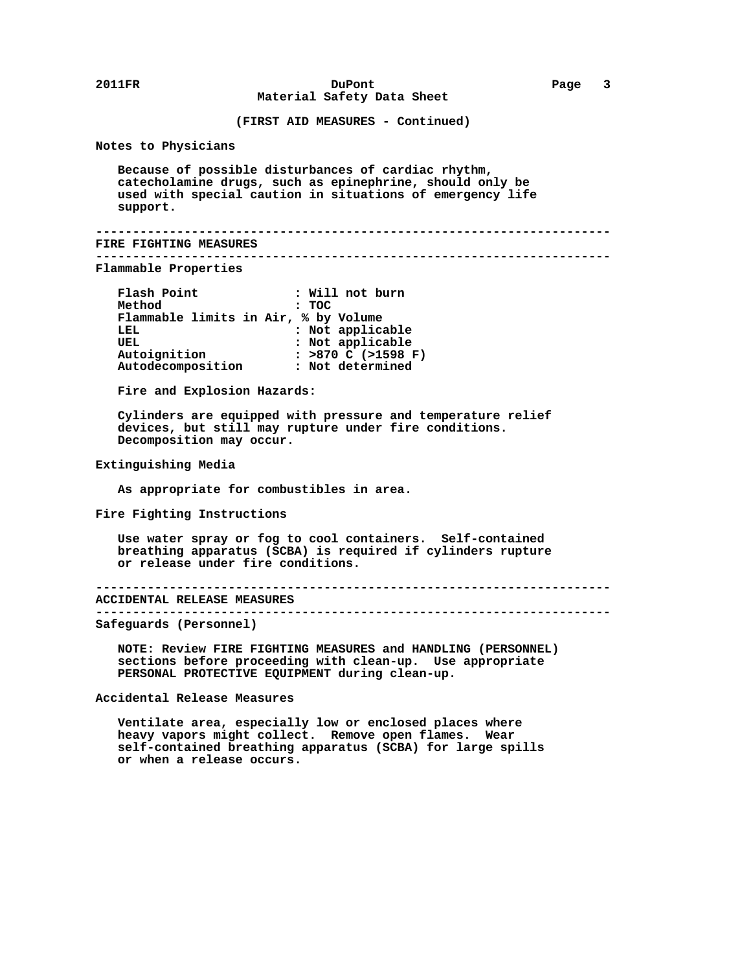**(FIRST AID MEASURES - Continued)**

 **Notes to Physicians**

 **Because of possible disturbances of cardiac rhythm, catecholamine drugs, such as epinephrine, should only be used with special caution in situations of emergency life support.**

```
 ----------------------------------------------------------------------
 FIRE FIGHTING MEASURES
```
 **----------------------------------------------------------------------**

 **Flammable Properties**

| Flash Point                          | : Will not burn         |
|--------------------------------------|-------------------------|
| Method                               | : TOC                   |
| Flammable limits in Air, % by Volume |                         |
| LEL                                  | : Not applicable        |
| UEL                                  | : Not applicable        |
| Autoignition                         | : $>870$ C ( $>1598$ F) |
| Autodecomposition                    | : Not determined        |

 **Fire and Explosion Hazards:**

 **Cylinders are equipped with pressure and temperature relief devices, but still may rupture under fire conditions. Decomposition may occur.**

 **Extinguishing Media**

 **As appropriate for combustibles in area.**

 **Fire Fighting Instructions**

 **Use water spray or fog to cool containers. Self-contained breathing apparatus (SCBA) is required if cylinders rupture or release under fire conditions.**

```
 ----------------------------------------------------------------------
```

```
 ACCIDENTAL RELEASE MEASURES
```

```
 ----------------------------------------------------------------------
```
 **Safeguards (Personnel)**

 **NOTE: Review FIRE FIGHTING MEASURES and HANDLING (PERSONNEL) sections before proceeding with clean-up. Use appropriate PERSONAL PROTECTIVE EQUIPMENT during clean-up.**

 **Accidental Release Measures**

 **Ventilate area, especially low or enclosed places where heavy vapors might collect. Remove open flames. Wear self-contained breathing apparatus (SCBA) for large spills or when a release occurs.**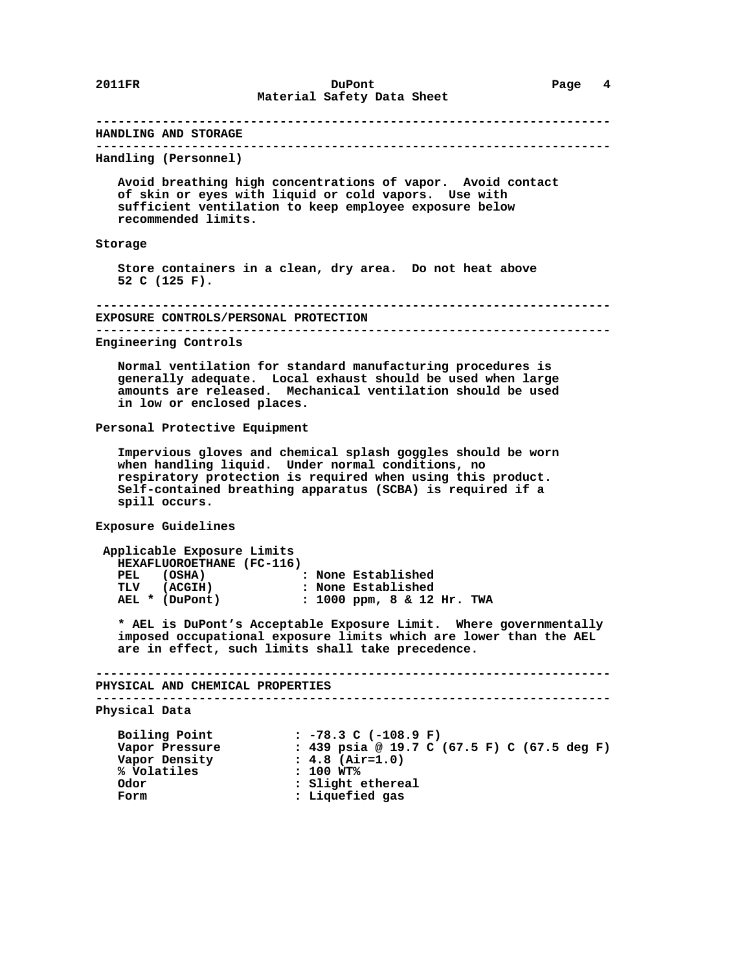**---------------------------------------------------------------------- HANDLING AND STORAGE ---------------------------------------------------------------------- Handling (Personnel) Avoid breathing high concentrations of vapor. Avoid contact of skin or eyes with liquid or cold vapors. Use with sufficient ventilation to keep employee exposure below recommended limits. Storage Store containers in a clean, dry area. Do not heat above 52 C (125 F). ---------------------------------------------------------------------- EXPOSURE CONTROLS/PERSONAL PROTECTION ---------------------------------------------------------------------- Engineering Controls Normal ventilation for standard manufacturing procedures is generally adequate. Local exhaust should be used when large amounts are released. Mechanical ventilation should be used in low or enclosed places. Personal Protective Equipment Impervious gloves and chemical splash goggles should be worn when handling liquid. Under normal conditions, no respiratory protection is required when using this product. Self-contained breathing apparatus (SCBA) is required if a spill occurs. Exposure Guidelines Applicable Exposure Limits HEXAFLUOROETHANE (FC-116) PEL (OSHA) : None Established TLV (ACGIH) : None Established** AEL \* (DuPont) : 1000 ppm, 8 & 12 Hr. TWA  **\* AEL is DuPont's Acceptable Exposure Limit. Where governmentally imposed occupational exposure limits which are lower than the AEL are in effect, such limits shall take precedence. ---------------------------------------------------------------------- PHYSICAL AND CHEMICAL PROPERTIES ---------------------------------------------------------------------- Physical Data Boiling Point : -78.3 C (-108.9 F) :** 439 psia @ 19.7 C (67.5 F) C (67.5 deg F)<br>: 4.8 (Air=1.0) Vapor Pressure : 439 psia<br>
Vapor Density : 4.8 (Air<br>
% Volatiles : 100 WT%  $%$  Volatiles<br>Odor  **Odor : Slight ethereal Form : Liquefied gas**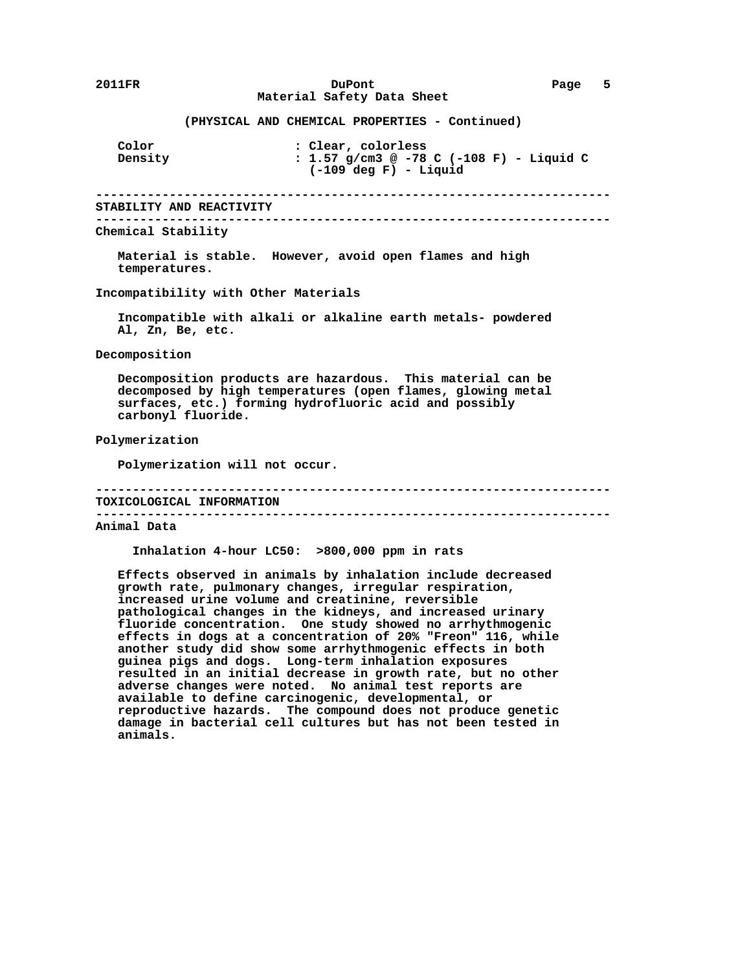# **(PHYSICAL AND CHEMICAL PROPERTIES - Continued)**

| Color   | : Clear, colorless                                                    |
|---------|-----------------------------------------------------------------------|
| Density | : 1.57 $q/cm3$ @ -78 C (-108 F) - Liquid C<br>$(-109$ deg F) - Liquid |

 **---------------------------------------------------------------------- STABILITY AND REACTIVITY**

 **----------------------------------------------------------------------**

 **Chemical Stability**

 **Material is stable. However, avoid open flames and high temperatures.**

 **Incompatibility with Other Materials**

 **Incompatible with alkali or alkaline earth metals- powdered Al, Zn, Be, etc.**

 **Decomposition**

 **Decomposition products are hazardous. This material can be decomposed by high temperatures (open flames, glowing metal surfaces, etc.) forming hydrofluoric acid and possibly carbonyl fluoride.**

#### **Polymerization**

 **Polymerization will not occur.**

 **---------------------------------------------------------------------- TOXICOLOGICAL INFORMATION**

 **----------------------------------------------------------------------**

 **Animal Data**

 **Inhalation 4-hour LC50: >800,000 ppm in rats**

 **Effects observed in animals by inhalation include decreased growth rate, pulmonary changes, irregular respiration, increased urine volume and creatinine, reversible pathological changes in the kidneys, and increased urinary fluoride concentration. One study showed no arrhythmogenic effects in dogs at a concentration of 20% "Freon" 116, while another study did show some arrhythmogenic effects in both guinea pigs and dogs. Long-term inhalation exposures resulted in an initial decrease in growth rate, but no other adverse changes were noted. No animal test reports are available to define carcinogenic, developmental, or reproductive hazards. The compound does not produce genetic damage in bacterial cell cultures but has not been tested in animals.**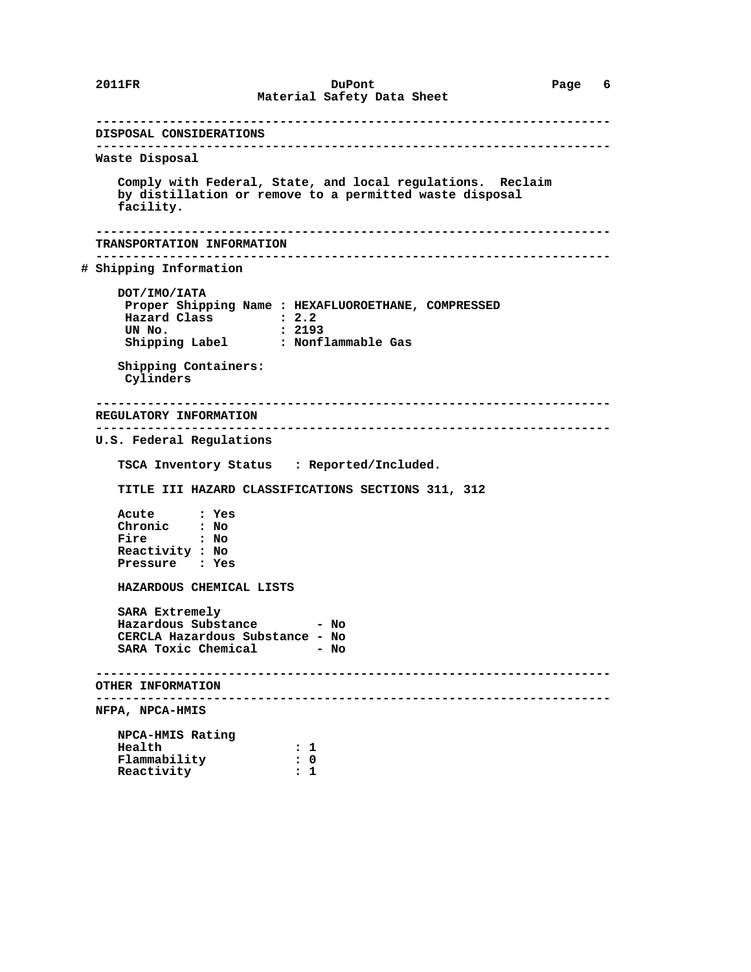**---------------------------------------------------------------------- DISPOSAL CONSIDERATIONS ---------------------------------------------------------------------- Waste Disposal Comply with Federal, State, and local regulations. Reclaim by distillation or remove to a permitted waste disposal facility. ---------------------------------------------------------------------- TRANSPORTATION INFORMATION ---------------------------------------------------------------------- # Shipping Information DOT/IMO/IATA Proper Shipping Name : HEXAFLUOROETHANE, COMPRESSED Hazard Class : 2.2 UN No. : 2193 Shipping Label : Nonflammable Gas Shipping Containers: Cylinders ---------------------------------------------------------------------- REGULATORY INFORMATION ---------------------------------------------------------------------- U.S. Federal Regulations TSCA Inventory Status : Reported/Included. TITLE III HAZARD CLASSIFICATIONS SECTIONS 311, 312 Acute : Yes Chronic : No Fire : No Reactivity : No Pressure : Yes HAZARDOUS CHEMICAL LISTS SARA Extremely Hazardous Substance - No CERCLA Hazardous Substance - No SARA Toxic Chemical - No ---------------------------------------------------------------------- OTHER INFORMATION ---------------------------------------------------------------------- NFPA, NPCA-HMIS NPCA-HMIS Rating Health** : 1<br>**Flammability** : 0 Flammability : 0<br>Reactivity : 1  **Reactivity : 1**